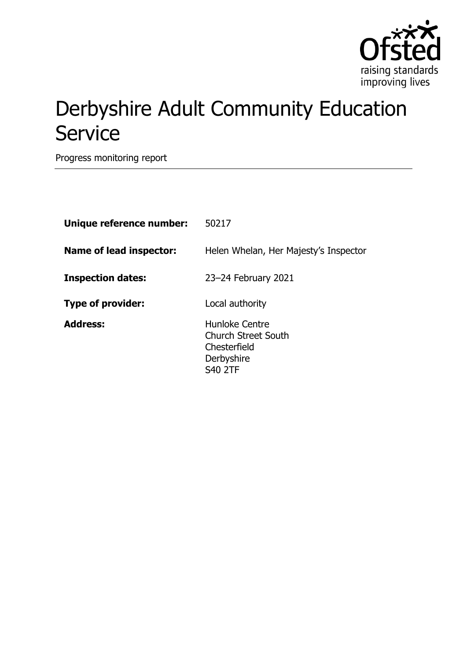

## Derbyshire Adult Community Education **Service**

Progress monitoring report

| Unique reference number: | 50217                                                                                        |
|--------------------------|----------------------------------------------------------------------------------------------|
| Name of lead inspector:  | Helen Whelan, Her Majesty's Inspector                                                        |
| <b>Inspection dates:</b> | 23-24 February 2021                                                                          |
| <b>Type of provider:</b> | Local authority                                                                              |
| <b>Address:</b>          | Hunloke Centre<br><b>Church Street South</b><br>Chesterfield<br>Derbyshire<br><b>S40 2TF</b> |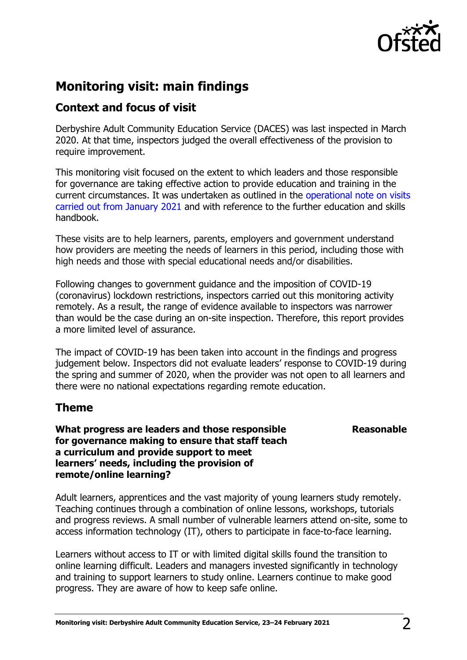

## **Monitoring visit: main findings**

## **Context and focus of visit**

Derbyshire Adult Community Education Service (DACES) was last inspected in March 2020. At that time, inspectors judged the overall effectiveness of the provision to require improvement.

This monitoring visit focused on the extent to which leaders and those responsible for governance are taking effective action to provide education and training in the current circumstances. It was undertaken as outlined in the [operational note on visits](https://www.gov.uk/guidance/january-2021-further-education-and-skills-providers)  [carried out from January 2021](https://www.gov.uk/guidance/january-2021-further-education-and-skills-providers) and with reference to the further education and skills handbook.

These visits are to help learners, parents, employers and government understand how providers are meeting the needs of learners in this period, including those with high needs and those with special educational needs and/or disabilities.

Following changes to government guidance and the imposition of COVID-19 (coronavirus) lockdown restrictions, inspectors carried out this monitoring activity remotely. As a result, the range of evidence available to inspectors was narrower than would be the case during an on-site inspection. Therefore, this report provides a more limited level of assurance.

The impact of COVID-19 has been taken into account in the findings and progress judgement below. Inspectors did not evaluate leaders' response to COVID-19 during the spring and summer of 2020, when the provider was not open to all learners and there were no national expectations regarding remote education.

## **Theme**

**What progress are leaders and those responsible for governance making to ensure that staff teach a curriculum and provide support to meet learners' needs, including the provision of remote/online learning?**

**Reasonable**

Adult learners, apprentices and the vast majority of young learners study remotely. Teaching continues through a combination of online lessons, workshops, tutorials and progress reviews. A small number of vulnerable learners attend on-site, some to access information technology (IT), others to participate in face-to-face learning.

Learners without access to IT or with limited digital skills found the transition to online learning difficult. Leaders and managers invested significantly in technology and training to support learners to study online. Learners continue to make good progress. They are aware of how to keep safe online.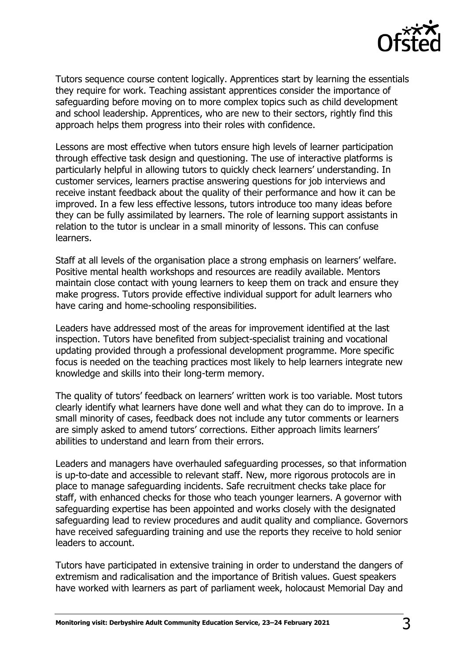

Tutors sequence course content logically. Apprentices start by learning the essentials they require for work. Teaching assistant apprentices consider the importance of safeguarding before moving on to more complex topics such as child development and school leadership. Apprentices, who are new to their sectors, rightly find this approach helps them progress into their roles with confidence.

Lessons are most effective when tutors ensure high levels of learner participation through effective task design and questioning. The use of interactive platforms is particularly helpful in allowing tutors to quickly check learners' understanding. In customer services, learners practise answering questions for job interviews and receive instant feedback about the quality of their performance and how it can be improved. In a few less effective lessons, tutors introduce too many ideas before they can be fully assimilated by learners. The role of learning support assistants in relation to the tutor is unclear in a small minority of lessons. This can confuse learners.

Staff at all levels of the organisation place a strong emphasis on learners' welfare. Positive mental health workshops and resources are readily available. Mentors maintain close contact with young learners to keep them on track and ensure they make progress. Tutors provide effective individual support for adult learners who have caring and home-schooling responsibilities.

Leaders have addressed most of the areas for improvement identified at the last inspection. Tutors have benefited from subject-specialist training and vocational updating provided through a professional development programme. More specific focus is needed on the teaching practices most likely to help learners integrate new knowledge and skills into their long-term memory.

The quality of tutors' feedback on learners' written work is too variable. Most tutors clearly identify what learners have done well and what they can do to improve. In a small minority of cases, feedback does not include any tutor comments or learners are simply asked to amend tutors' corrections. Either approach limits learners' abilities to understand and learn from their errors.

Leaders and managers have overhauled safeguarding processes, so that information is up-to-date and accessible to relevant staff. New, more rigorous protocols are in place to manage safeguarding incidents. Safe recruitment checks take place for staff, with enhanced checks for those who teach younger learners. A governor with safeguarding expertise has been appointed and works closely with the designated safeguarding lead to review procedures and audit quality and compliance. Governors have received safeguarding training and use the reports they receive to hold senior leaders to account.

Tutors have participated in extensive training in order to understand the dangers of extremism and radicalisation and the importance of British values. Guest speakers have worked with learners as part of parliament week, holocaust Memorial Day and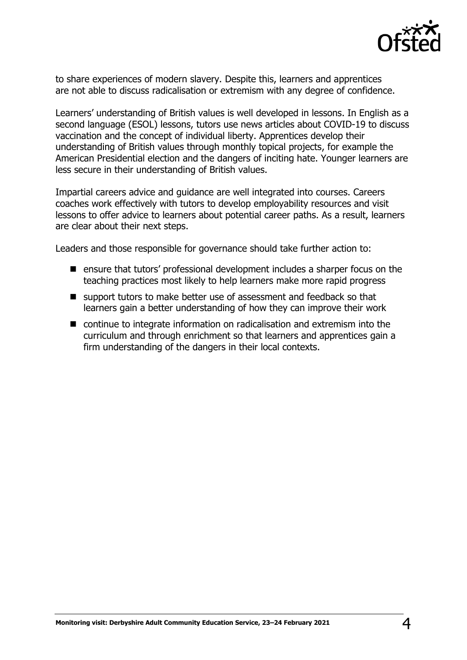

to share experiences of modern slavery. Despite this, learners and apprentices are not able to discuss radicalisation or extremism with any degree of confidence.

Learners' understanding of British values is well developed in lessons. In English as a second language (ESOL) lessons, tutors use news articles about COVID-19 to discuss vaccination and the concept of individual liberty. Apprentices develop their understanding of British values through monthly topical projects, for example the American Presidential election and the dangers of inciting hate. Younger learners are less secure in their understanding of British values.

Impartial careers advice and guidance are well integrated into courses. Careers coaches work effectively with tutors to develop employability resources and visit lessons to offer advice to learners about potential career paths. As a result, learners are clear about their next steps.

Leaders and those responsible for governance should take further action to:

- ensure that tutors' professional development includes a sharper focus on the teaching practices most likely to help learners make more rapid progress
- support tutors to make better use of assessment and feedback so that learners gain a better understanding of how they can improve their work
- continue to integrate information on radicalisation and extremism into the curriculum and through enrichment so that learners and apprentices gain a firm understanding of the dangers in their local contexts.